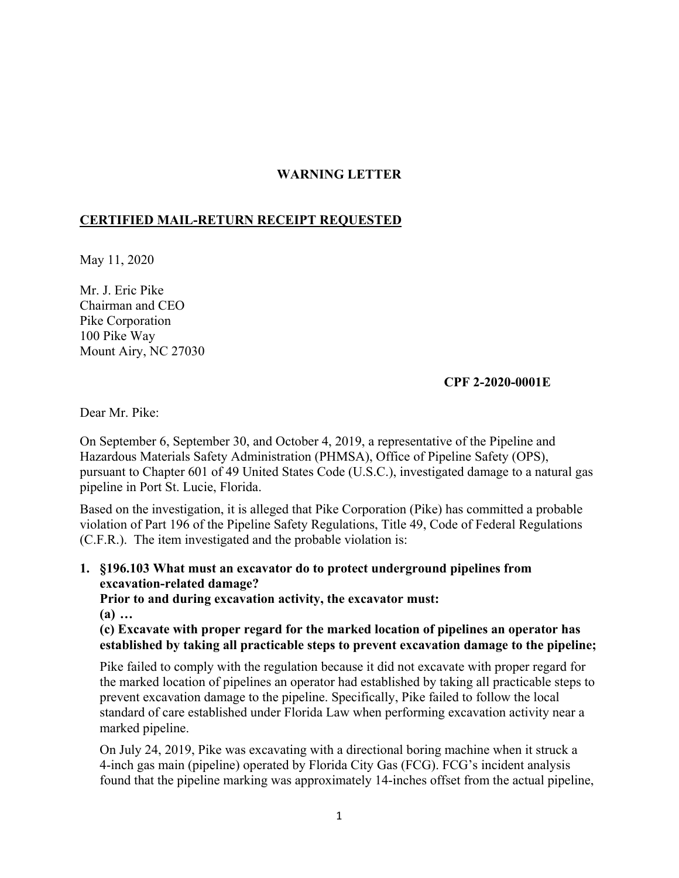## **WARNING LETTER**

## **CERTIFIED MAIL-RETURN RECEIPT REQUESTED**

May 11, 2020

Mr. J. Eric Pike Chairman and CEO Pike Corporation 100 Pike Way Mount Airy, NC 27030

## **CPF 2-2020-0001E**

Dear Mr. Pike:

On September 6, September 30, and October 4, 2019, a representative of the Pipeline and Hazardous Materials Safety Administration (PHMSA), Office of Pipeline Safety (OPS), pursuant to Chapter 601 of 49 United States Code (U.S.C.), investigated damage to a natural gas pipeline in Port St. Lucie, Florida.

Based on the investigation, it is alleged that Pike Corporation (Pike) has committed a probable violation of Part 196 of the Pipeline Safety Regulations, Title 49, Code of Federal Regulations (C.F.R.). The item investigated and the probable violation is:

**1. §196.103 What must an excavator do to protect underground pipelines from excavation-related damage?** 

**Prior to and during excavation activity, the excavator must:** 

**(a) …** 

**(c) Excavate with proper regard for the marked location of pipelines an operator has established by taking all practicable steps to prevent excavation damage to the pipeline;** 

Pike failed to comply with the regulation because it did not excavate with proper regard for the marked location of pipelines an operator had established by taking all practicable steps to prevent excavation damage to the pipeline. Specifically, Pike failed to follow the local standard of care established under Florida Law when performing excavation activity near a marked pipeline.

On July 24, 2019, Pike was excavating with a directional boring machine when it struck a 4-inch gas main (pipeline) operated by Florida City Gas (FCG). FCG's incident analysis found that the pipeline marking was approximately 14-inches offset from the actual pipeline,